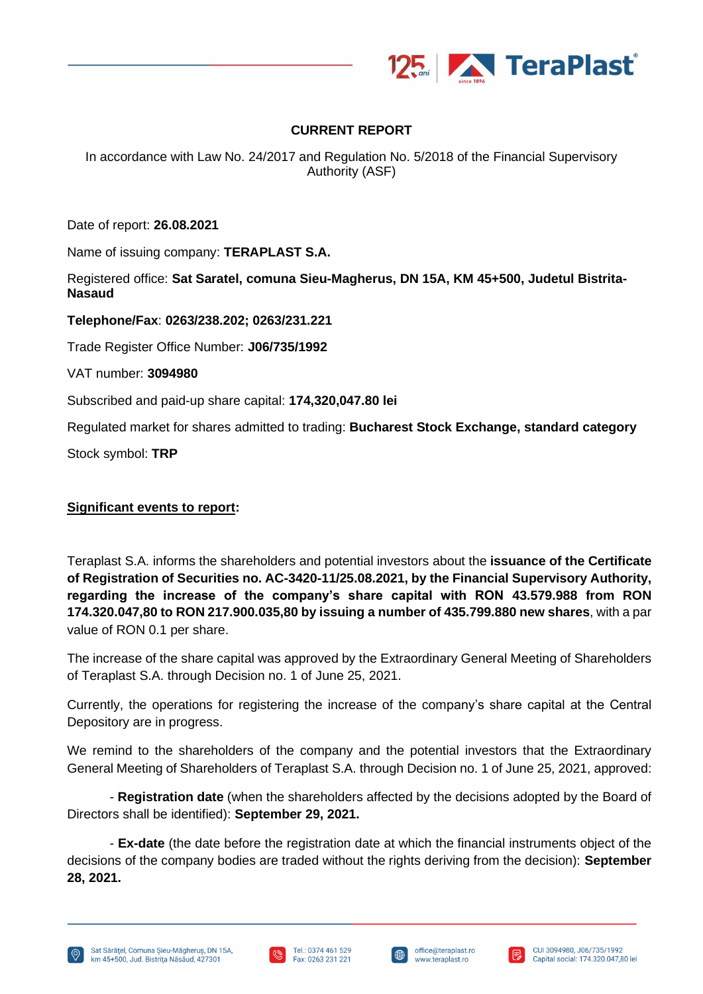

#### **CURRENT REPORT**

In accordance with Law No. 24/2017 and Regulation No. 5/2018 of the Financial Supervisory Authority (ASF)

Date of report: **26.08.2021**

Name of issuing company: **TERAPLAST S.A.**

Registered office: **Sat Saratel, comuna Sieu-Magherus, DN 15A, KM 45+500, Judetul Bistrita-Nasaud**

**Telephone/Fax**: **0263/238.202; 0263/231.221**

Trade Register Office Number: **J06/735/1992**

VAT number: **3094980**

Subscribed and paid-up share capital: **174,320,047.80 lei**

Regulated market for shares admitted to trading: **Bucharest Stock Exchange, standard category**

Stock symbol: **TRP**

#### **Significant events to report:**

Teraplast S.A. informs the shareholders and potential investors about the **issuance of the Certificate of Registration of Securities no. AC-3420-11/25.08.2021, by the Financial Supervisory Authority, regarding the increase of the company's share capital with RON 43.579.988 from RON 174.320.047,80 to RON 217.900.035,80 by issuing a number of 435.799.880 new shares**, with a par value of RON 0.1 per share.

The increase of the share capital was approved by the Extraordinary General Meeting of Shareholders of Teraplast S.A. through Decision no. 1 of June 25, 2021.

Currently, the operations for registering the increase of the company's share capital at the Central Depository are in progress.

We remind to the shareholders of the company and the potential investors that the Extraordinary General Meeting of Shareholders of Teraplast S.A. through Decision no. 1 of June 25, 2021, approved:

- **Registration date** (when the shareholders affected by the decisions adopted by the Board of Directors shall be identified): **September 29, 2021.**

- **Ex-date** (the date before the registration date at which the financial instruments object of the decisions of the company bodies are traded without the rights deriving from the decision): **September 28, 2021.**







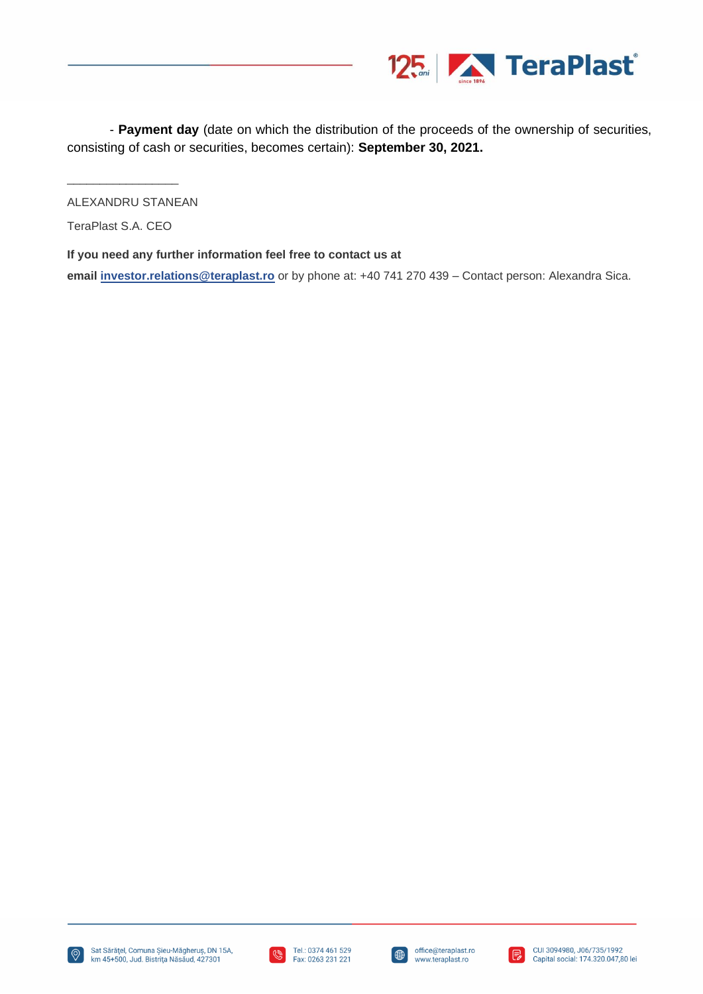

- **Payment day** (date on which the distribution of the proceeds of the ownership of securities, consisting of cash or securities, becomes certain): **September 30, 2021.**

ALEXANDRU STANEAN

TeraPlast S.A. CEO

\_\_\_\_\_\_\_\_\_\_\_\_\_\_\_\_\_

**If you need any further information feel free to contact us at**

**email [investor.relations@teraplast.ro](mailto:investor.relations@teraplast.ro)** or by phone at: +40 741 270 439 – Contact person: Alexandra Sica.





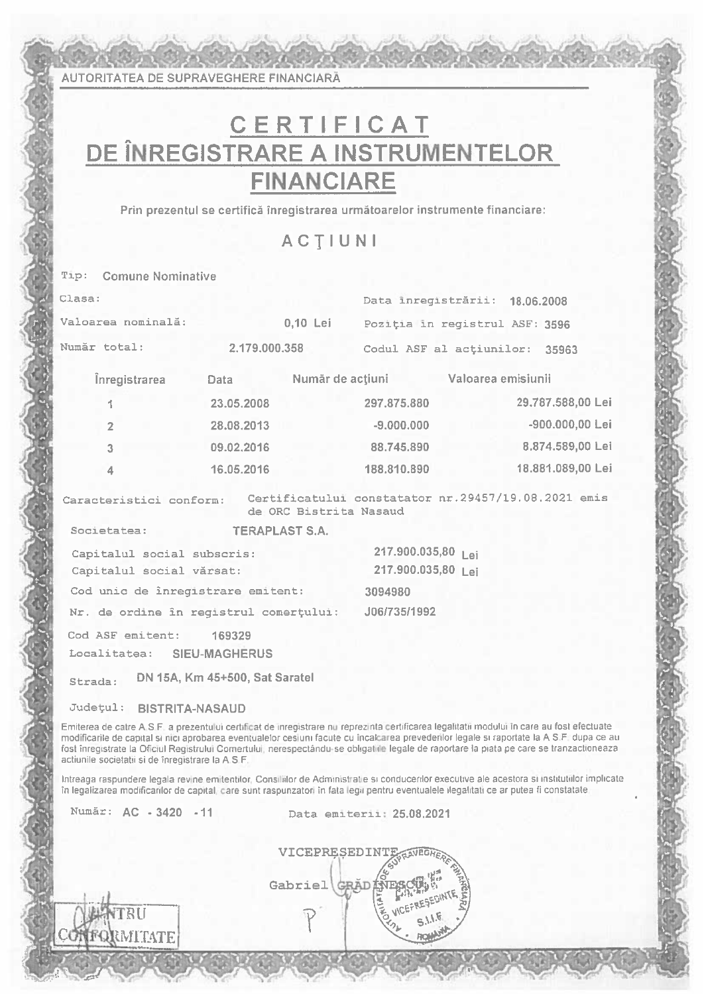**AUTORITATEA DE SUPRAVEGHERE FINANCIARĂ** 

## CERTIFICAT DE ÎNREGISTRARE A INSTRUMENTELOR **FINANCIARE**

Prin prezentul se certifică înregistrarea următoarelor instrumente financiare:

**ACTIUNI** 

**Comune Nominative** Tip:

| Clasa:                                 |                       |                        | Data inregistrării: 18.06.2008                      |                   |
|----------------------------------------|-----------------------|------------------------|-----------------------------------------------------|-------------------|
| Valoarea nominală:                     |                       | $0,10$ Lei             | Poziția in registrul ASF: 3596                      |                   |
| Numär total:                           | 2.179.000.358         |                        | Codul ASF al actiunilor: 35963                      |                   |
| <i><u><b>Inregistrarea</b></u></i>     | Data                  |                        | Număr de acțiuni  Valoarea emisiunii                |                   |
| 1                                      | 23.05.2008            |                        | 297.875.880                                         | 29.787.588,00 Lei |
| $\overline{2}$                         | 28.08.2013            |                        | $-9.000.000$                                        | -900.000,00 Lei   |
| $\overline{3}$                         | 09.02.2016            |                        | 88.745.890                                          | 8.874.589,00 Lei  |
| $\mathbf{4}$                           | 16.05.2016            |                        | 188.810.890                                         | 18.881.089,00 Lei |
| Caracteristici conform:                |                       | de ORC Bistrita Nasaud | Certificatului constatator nr.29457/19.08.2021 emis |                   |
| Societatea:                            | <b>TERAPLAST S.A.</b> |                        |                                                     |                   |
| Capitalul social subscris:             |                       | 217.900.035,80 Lei     |                                                     |                   |
| Capitalul social vărsat:               |                       | 217.900.035,80 Lei     |                                                     |                   |
| Cod unic de inregistrare emitent:      |                       | 3094980                |                                                     |                   |
| Nr. de ordine în registrul comerțului: |                       |                        | J06/735/1992                                        |                   |
| Cod ASF emitent: 169329                |                       |                        |                                                     |                   |
| Localitatea: SIEU-MAGHERUS             |                       |                        |                                                     |                   |
|                                        |                       |                        |                                                     |                   |

DN 15A, Km 45+500, Sat Saratel Strada:

Județul: BISTRITA-NASAUD

Emiterea de catre A.S.F. a prezentului certificat de inregistrare nu reprezinta certificarea legalitatii modului în care au fost efectuate modificarile de capital si nici aprobarea eventualelor cesiuni facute cu incalcarea prevederilor legale si raportate la A S.F. dupa ce au fost înregistrate la Oficiul Registrului Comertului, nerespectându-se obligatiile legale de raportare la piata pe care se tranzactioneaza actiunile societatii si de înregistrare la A.S.F.

Intreaga raspundere legala revine emitentilor, Consiliilor de Administratie si conducerilor executive ale acestora si institutiilor implicate în legalizarea modificarilor de capital, care sunt raspunzatori în fata legii pentru eventualele ilegalitati ce ar putea fi constatate

Număr: AC - 3420 - 11

VHTATE

Data emiterii: 25.08.2021

VICEPRESEDINTE Gabriel GRAD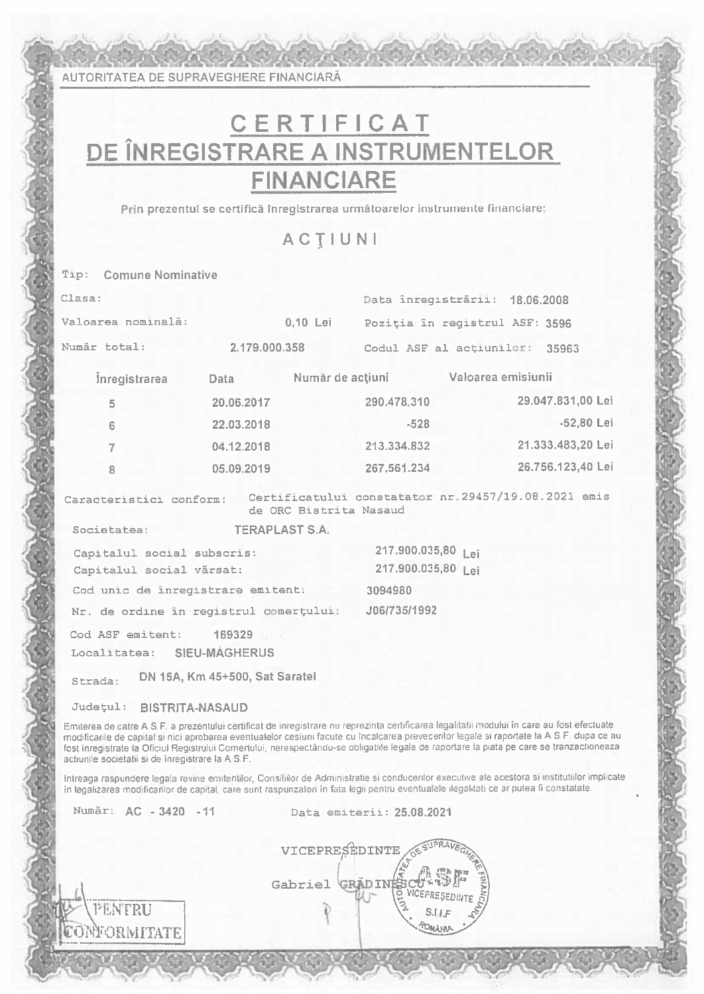AUTORITATEA DE SUPRAVEGHERE FINANCIARĂ

# CERTIFICAT DE ÎNREGISTRARE A INSTRUMENTELOR **FINANCIARE**

Prin prezentul se certifică înregistrarea următoarelor instrumente financiare:

**ACTIUNI** 

Tip: Comune Nominative Clasa: Data înregistrării: 18.06.2008 0,10 Lei Valoarea nominală: Poziția în registrul ASF: 3596 Număr total: 2.179.000.358 Codul ASF al actiunilor: 35963 Înregistrarea Data Număr de acțiuni Valoarea emisiunii 29.047.831.00 Lei 20.06.2017 290.478.310  $\overline{a}$ -52.80 Lei 22.03.2018  $-528$ Ġ 21.333.483.20 Lei 213.334.832 04.12.2018 26.756.123,40 Lei 05.09.2019 267.561.234 Caracteristici conform: Certificatului constatator nr.29457/19.08.2021 emis de ORC Bistrita Nasaud Societatea: **TERAPLAST S.A.** 217.900.035,80 lei Capitalul social subscris: 217.900.035,80 Lei Capitalul social vărsat: Cod unic de înregistrare emitent: 3094980 Nr. de ordine în registrul comerțului: J06/735/1992 Cod ASF emitent: 169329 Localitatea: SHEU-MAGHERUS Strada: DN 15A, Km 45+500, Sat Saratel

Județul: BISTRITA-NASAUD

Emiterea de catre A.S.F. a prezentului certificat de inregistrare nu reprezinta certificarea legalitatii modului în care au fost efectuate modificarile de capital si nici aprobarea eventualelor cesiuni facute cu încalcarea prevedentor legale si raportate la A S.F. dupa ce au fost inregistrate la Oficiul Registrului Comertului, nerespectându-se obligatiile legale de raportare la piata pe care se tranzactioneaza actiunile societatii si de înregistrare la A.S.F.

Intreaga raspundere legala revine emitentilor, Consiliilor de Administratie si conducerilor executive ale acestora si institutiilor implicate în legalizarea modificarilor de capital, care sunt raspunzatori în fata legii pentru eventualele ilegalitati ce ar putea fi constatate

Număr: AC - 3420 - 11

PENTRU **ONFORMITATE**  Data emiterii: 25.08.2021

VICEPRESEDINTE Gabriel GRADIN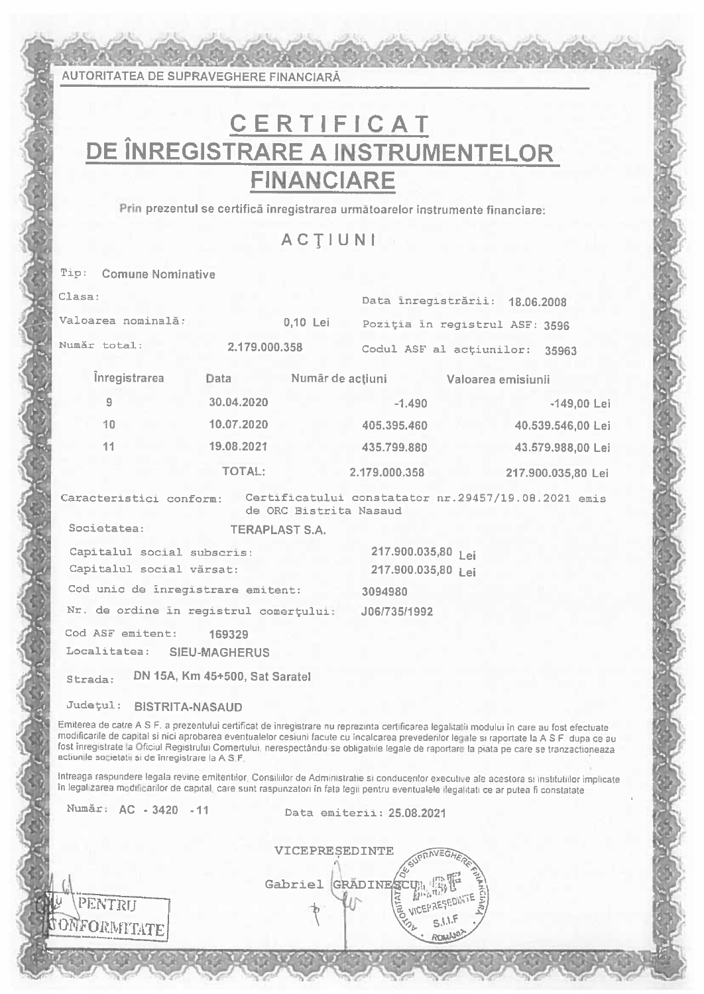**AUTORITATEA DE SUPRAVEGHERE FINANCIARĂ** 

# CERTIFICAT DE ÎNREGISTRARE A INSTRUMENTELOR **FINANCIARE**

Prin prezentul se certifică înregistrarea următoarelor instrumente financiare:

ACTIUNI

Tip: Comune Nominative  $Class:$ Data inregistrării: 18.06.2008 Valoarea nominală: 0,10 Lei Poziția în registrul ASF: 3596 Număr total: 2.179.000.358 Codul ASF al actiunilor: 35963 Înregistrarea Data Număr de acțiuni Valoarea emisiunii  $\alpha$ 30.04.2020  $-1.490$  $-149,00$  Lei  $10<sub>1</sub>$ 10.07.2020 405.395.460 40.539.546,00 Lei 19.08.2021  $11$ 435.799.880 43.579.988,00 Lei **TOTAL:** 2.179.000.358 217.900.035.80 Lei Caracteristici conform: Certificatului constatator nr.29457/19.08.2021 emis de ORC Bistrita Nasaud Societatea: **TERAPLAST S.A.** 217.900.035,80 Lei Capitalul social subscris: Capitalul social vărsat: 217.900.035,80 lei Cod unic de inregistrare emitent: 3094980 Nr. de ordine in registrul comertului: J06/735/1992 Cod ASF emitent: 169329 Localitatea: SIEU-MAGHERUS Strada: DN 15A, Km 45+500, Sat Saratel

Județul: BISTRITA-NASAUD

Emiterea de catre A S F, a prezentului certificat de inregistrare nu reprezinta certificarea legalitatii modului în care au fost efectuate modificarile de capital si nici aprobarea eventualelor cesiuni facute cu incalcarea prevederitor legale si raportate la A S F, dupa ce au fost inregistrate la Oficiul Registrului Comertului, nerespectându-se obligatiile legale de raportare la piata pe care se tranzactioneaza actiunile societatii si de înregistrare la A S.F.

Intreaga raspundere legala revine emitentilor, Consiliilor de Administratie si conducerilor executive ale acestora si institutilor implicate in legalizarea modificarilor de capital, care sunt raspunzatori in fata legii pentru eventualele ilegalitati ce ar putea fi constatate.

Număr: AC - 3420 - 11

PENTRIJ

ONFORMITATE

Data emiterii: 25.08.2021

VICEPRESEDINTE **IPRAVEGH** Gabriel GRADINESC VICEPRESEDINT  $53.1.5$